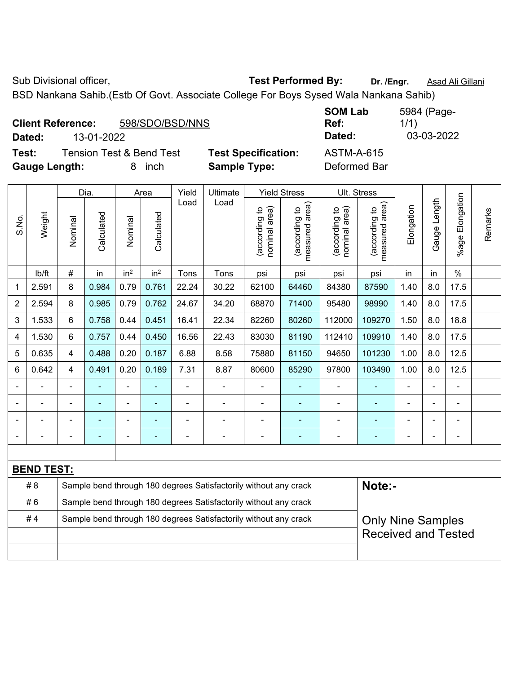Sub Divisional officer, **Test Performed By:** Dr. /Engr. **Asad Ali Gillani** Cub Divisional officer, BSD Nankana Sahib.(Estb Of Govt. Associate College For Boys Sysed Wala Nankana Sahib)

| <b>Client Reference:</b> | 598/SDO/BSD/NNS |
|--------------------------|-----------------|
|--------------------------|-----------------|

**Test:** Tension Test & Bend Test **Test Specification: Gauge Length:** 8 inch **Sample Type:** Deformed Bar

| Dated:      |
|-------------|
| ASTM-A-615  |
| Doformod Do |

|                |                |                                                                  | Dia.       |                          | Area            | Yield | Ultimate                                                         |                                | <b>Yield Stress</b>                         |                                | Ult. Stress                     |                |                |                       |         |  |  |
|----------------|----------------|------------------------------------------------------------------|------------|--------------------------|-----------------|-------|------------------------------------------------------------------|--------------------------------|---------------------------------------------|--------------------------------|---------------------------------|----------------|----------------|-----------------------|---------|--|--|
| S.No.          | Weight         | Nominal                                                          | Calculated | Nominal                  | Calculated      | Load  | Load                                                             | nominal area)<br>(according to | (according to<br>neasured area)<br>measured | nominal area)<br>(according to | measured area)<br>(according to | Elongation     | Gauge Length   | Elongation<br>$%$ age | Remarks |  |  |
|                | lb/ft          | #                                                                | in         | in <sup>2</sup>          | in <sup>2</sup> | Tons  | Tons                                                             | psi                            | psi                                         | psi                            | psi                             | in             | in             | $\%$                  |         |  |  |
| 1              | 2.591          | 8                                                                | 0.984      | 0.79                     | 0.761           | 22.24 | 30.22                                                            | 62100                          | 64460                                       | 84380                          | 87590                           | 1.40           | 8.0            | 17.5                  |         |  |  |
| 2              | 2.594          | 8                                                                | 0.985      | 0.79                     | 0.762           | 24.67 | 34.20                                                            | 68870                          | 71400                                       | 95480                          | 98990                           | 1.40           | 8.0            | 17.5                  |         |  |  |
| 3              | 1.533          | 6                                                                | 0.758      | 0.44                     | 0.451           | 16.41 | 22.34                                                            | 82260                          | 80260                                       | 112000                         | 109270                          | 1.50           | 8.0            | 18.8                  |         |  |  |
| 4              | 1.530          | 6                                                                | 0.757      | 0.44                     | 0.450           | 16.56 | 22.43                                                            | 83030                          | 81190                                       | 112410                         | 109910                          | 1.40           | 8.0            | 17.5                  |         |  |  |
| 5              | 0.635          | $\overline{4}$                                                   | 0.488      | 0.20                     | 0.187           | 6.88  | 8.58                                                             | 75880                          | 81150                                       | 94650                          | 101230                          | 1.00           | 8.0            | 12.5                  |         |  |  |
| 6              | 0.642          | 4                                                                | 0.491      | 0.20                     | 0.189           | 7.31  | 8.87                                                             | 80600                          | 85290                                       | 97800                          | 103490                          | 1.00           | 8.0            | 12.5                  |         |  |  |
| $\blacksquare$ | $\blacksquare$ | $\blacksquare$                                                   | ä,         | $\blacksquare$           | ÷               | ÷     | $\blacksquare$                                                   | $\overline{\phantom{a}}$       | $\blacksquare$                              | $\overline{\phantom{a}}$       | ÷                               | ä,             | $\blacksquare$ | $\blacksquare$        |         |  |  |
|                | $\blacksquare$ | $\blacksquare$                                                   | ÷,         | ÷,                       | ٠               | ä,    | $\blacksquare$                                                   | $\blacksquare$                 | $\blacksquare$                              | $\blacksquare$                 | ÷                               | $\blacksquare$ |                | $\blacksquare$        |         |  |  |
|                |                |                                                                  |            |                          |                 |       |                                                                  | $\blacksquare$                 |                                             |                                |                                 |                |                |                       |         |  |  |
| ÷              |                | $\blacksquare$                                                   | ۰          | $\overline{\phantom{0}}$ | $\overline{a}$  |       | $\blacksquare$                                                   | $\blacksquare$                 | $\overline{\phantom{0}}$                    | ۰                              | ٠                               | ۰              |                | $\blacksquare$        |         |  |  |
|                |                |                                                                  |            |                          |                 |       |                                                                  |                                |                                             |                                |                                 |                |                |                       |         |  |  |
|                |                | <b>BEND TEST:</b>                                                |            |                          |                 |       |                                                                  |                                |                                             |                                |                                 |                |                |                       |         |  |  |
|                | #8             | Sample bend through 180 degrees Satisfactorily without any crack |            |                          |                 |       |                                                                  |                                |                                             | Note:-                         |                                 |                |                |                       |         |  |  |
|                | #6             |                                                                  |            |                          |                 |       | Sample bend through 180 degrees Satisfactorily without any crack |                                |                                             |                                |                                 |                |                |                       |         |  |  |
|                | #4             |                                                                  |            |                          |                 |       | Sample bend through 180 degrees Satisfactorily without any crack |                                |                                             |                                | <b>Only Nine Samples</b>        |                |                |                       |         |  |  |
|                |                |                                                                  |            |                          |                 |       |                                                                  |                                |                                             |                                | <b>Received and Tested</b>      |                |                |                       |         |  |  |
|                |                |                                                                  |            |                          |                 |       |                                                                  |                                |                                             |                                |                                 |                |                |                       |         |  |  |

**SOM Lab Ref:**  5984 (Page-1/1) **Dated:** 13-01-2022 **Dated:** 03-03-2022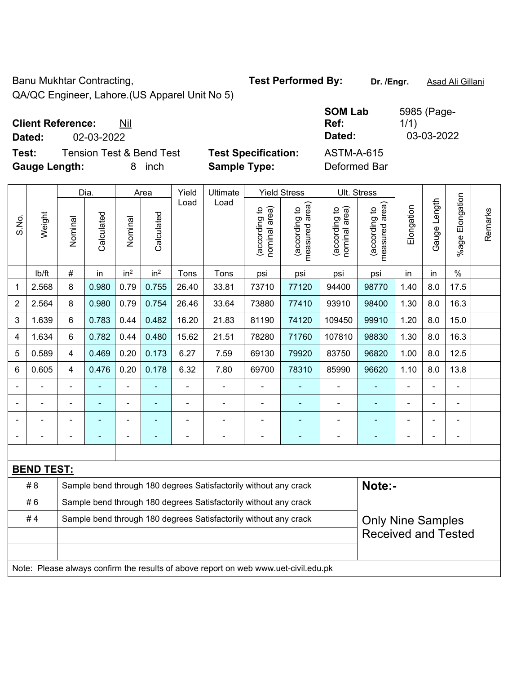Banu Mukhtar Contracting, **Test Performed By:** Dr. /Engr. **Asad Ali Gillani** 

QA/QC Engineer, Lahore.(US Apparel Unit No 5)

# **Client Reference:** Nil

**Dated:** 02-03-2022 **Dated:** 03-03-2022

**Test:** Tension Test & Bend Test **Test Specification:** ASTM-A-615 **Gauge Length:** 8 inch **Sample Type:** Deformed Bar

| ecification: | AS <sup>.</sup> |
|--------------|-----------------|
| : Type:      | Det             |

|                   |        |                | Dia.           |                 | Area            | Yield          | Ultimate                                                         |                                | <b>Yield Stress</b>                        | Ult. Stress                    |                                             |                |                |                      |         |
|-------------------|--------|----------------|----------------|-----------------|-----------------|----------------|------------------------------------------------------------------|--------------------------------|--------------------------------------------|--------------------------------|---------------------------------------------|----------------|----------------|----------------------|---------|
| S.No.             | Weight | Nominal        | Calculated     | Nominal         | Calculated      | Load           | Load                                                             | nominal area)<br>(according to | (acording to<br>neasured area)<br>measured | nominal area)<br>(according to | (according to<br>neasured area)<br>measured | Elongation     | Gauge Length   | Elongation<br>%age l | Remarks |
|                   | lb/ft  | #              | in             | in <sup>2</sup> | in <sup>2</sup> | Tons           | Tons                                                             | psi                            | psi                                        | psi                            | psi                                         | in             | in             | $\frac{0}{0}$        |         |
| 1                 | 2.568  | 8              | 0.980          | 0.79            | 0.755           | 26.40          | 33.81                                                            | 73710                          | 77120                                      | 94400                          | 98770                                       | 1.40           | 8.0            | 17.5                 |         |
| $\overline{2}$    | 2.564  | 8              | 0.980          | 0.79            | 0.754           | 26.46          | 33.64                                                            | 73880                          | 77410                                      | 93910                          | 98400                                       | 1.30           | 8.0            | 16.3                 |         |
| 3                 | 1.639  | 6              | 0.783          | 0.44            | 0.482           | 16.20          | 21.83                                                            | 81190                          | 74120                                      | 109450                         | 99910                                       | 1.20           | 8.0            | 15.0                 |         |
| 4                 | 1.634  | 6              | 0.782          | 0.44            | 0.480           | 15.62          | 21.51                                                            | 78280                          | 71760                                      | 107810                         | 98830                                       | 1.30           | 8.0            | 16.3                 |         |
| 5                 | 0.589  | 4              | 0.469          | 0.20            | 0.173           | 6.27           | 7.59                                                             | 69130                          | 79920                                      | 83750                          | 96820                                       | 1.00           | 8.0            | 12.5                 |         |
| 6                 | 0.605  | $\overline{4}$ | 0.476          | 0.20            | 0.178           | 6.32           | 7.80                                                             | 69700                          | 78310                                      | 85990                          | 96620                                       | 1.10           | 8.0            | 13.8                 |         |
|                   |        | $\blacksquare$ | ÷              | $\blacksquare$  |                 | $\blacksquare$ | ÷                                                                | $\blacksquare$                 | ٠                                          | $\blacksquare$                 | $\blacksquare$                              | ä,             | $\blacksquare$ | $\blacksquare$       |         |
|                   |        | $\blacksquare$ | $\blacksquare$ | ۰               | $\blacksquare$  | $\blacksquare$ | ä,                                                               | $\blacksquare$                 | ٠                                          | $\blacksquare$                 | $\blacksquare$                              | $\blacksquare$ | $\blacksquare$ | ä,                   |         |
|                   |        | ä,             |                | $\blacksquare$  |                 |                |                                                                  |                                |                                            |                                |                                             |                |                | $\blacksquare$       |         |
|                   |        | $\blacksquare$ |                |                 |                 |                | ۰                                                                | $\overline{a}$                 | $\blacksquare$                             | ٠                              | ۰                                           |                |                | $\overline{a}$       |         |
|                   |        |                |                |                 |                 |                |                                                                  |                                |                                            |                                |                                             |                |                |                      |         |
| <b>BEND TEST:</b> |        |                |                |                 |                 |                |                                                                  |                                |                                            |                                |                                             |                |                |                      |         |
|                   | #8     |                |                |                 |                 |                | Sample bend through 180 degrees Satisfactorily without any crack |                                |                                            |                                | Note:-                                      |                |                |                      |         |
|                   | #6     |                |                |                 |                 |                | Sample bend through 180 degrees Satisfactorily without any crack |                                |                                            |                                |                                             |                |                |                      |         |
|                   | #4     |                |                |                 |                 |                | Sample bend through 180 degrees Satisfactorily without any crack |                                |                                            |                                | <b>Only Nine Samples</b>                    |                |                |                      |         |
|                   |        |                |                |                 |                 |                |                                                                  |                                |                                            | <b>Received and Tested</b>     |                                             |                |                |                      |         |

Note: Please always confirm the results of above report on web www.uet-civil.edu.pk

**SOM Lab Ref:** 

1/1)

5985 (Page-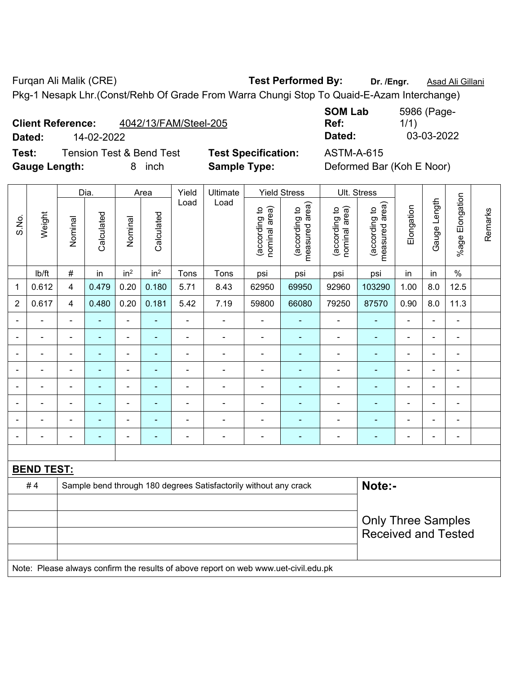Furqan Ali Malik (CRE) **Test Performed By: Dr. /Engr.** Asad Ali Gillani Pkg-1 Nesapk Lhr.(Const/Rehb Of Grade From Warra Chungi Stop To Quaid-E-Azam Interchange)

| <b>Client Reference:</b> | 4042/13/FAM/Steel-205 |
|--------------------------|-----------------------|
|--------------------------|-----------------------|

S.No.

Weight

**Test:** Tension Test & Bend Test **Test Specification:** ASTM-A-615 Gauge Length: 8 inch **Sample Type:** Deformed Bar (Koh E Noor)

1/1) **Dated:** 14-02-2022 **Dated:** 03-03-2022

**SOM Lab** 

Dia. | Area | Yield | Ultimate | Yield Stress | Ult. Stress Gauge Length Gauge Length Load Load (according to<br>measured area) measured area) (according to<br>measured area) measured area) (according to<br>nominal area) (according to<br>nominal area) Elongation nominal area) nominal area) Elongation (according to (according to (according to (according to **Calculated Calculated** Calculated Calculated Nominal Nominal Vominal Nominal <code>|b/ft | # |</code> in <code>|</code> in $^2$  | in $^2$  | Tons | Tons | psi | psi | psi | psi | in | in | % 1 | 0.612 | 4 | 0.479 | 0.20 | 0.180 | 5.71 | 8.43 | 62950 | 69950 | 92960 | 103290 | 1.00 | 8.0 | 12.5 2 | 0.617 | 4 | 0.480 | 0.20 | 0.181 | 5.42 | 7.19 | 59800 | 66080 | 79250 | 87570 | 0.90 | 8.0 | 11.3 - - - - - - - - - - - - - - - - - - - - - - - - - - - - - - - - - - - - - - - - - - - - -

|                                                                                  |                   |                          |  |   |                |                          |                | $\blacksquare$ |                |   |                            | ۰                        |                          |                          |  |
|----------------------------------------------------------------------------------|-------------------|--------------------------|--|---|----------------|--------------------------|----------------|----------------|----------------|---|----------------------------|--------------------------|--------------------------|--------------------------|--|
|                                                                                  |                   | $\overline{\phantom{0}}$ |  |   | $\blacksquare$ | -                        | $\overline{a}$ | $\blacksquare$ |                |   | $\overline{\phantom{0}}$   | ۰                        | $\overline{\phantom{0}}$ |                          |  |
|                                                                                  |                   |                          |  | - | ٠              | $\overline{\phantom{0}}$ | $\blacksquare$ | $\blacksquare$ | $\blacksquare$ | - | $\overline{\phantom{0}}$   | ۰                        |                          | $\overline{\phantom{0}}$ |  |
|                                                                                  |                   |                          |  |   | -              |                          |                | $\sim$         |                |   |                            | ۰                        |                          |                          |  |
|                                                                                  |                   |                          |  |   | -              |                          |                | $\blacksquare$ |                |   |                            | $\overline{\phantom{0}}$ |                          |                          |  |
|                                                                                  |                   |                          |  |   |                |                          |                |                |                |   |                            |                          |                          |                          |  |
|                                                                                  | <b>BEND TEST:</b> |                          |  |   |                |                          |                |                |                |   |                            |                          |                          |                          |  |
| Note:-<br>#4<br>Sample bend through 180 degrees Satisfactorily without any crack |                   |                          |  |   |                |                          |                |                |                |   |                            |                          |                          |                          |  |
|                                                                                  |                   |                          |  |   |                |                          |                |                |                |   |                            |                          |                          |                          |  |
| <b>Only Three Samples</b>                                                        |                   |                          |  |   |                |                          |                |                |                |   |                            |                          |                          |                          |  |
|                                                                                  |                   |                          |  |   |                |                          |                |                |                |   | <b>Received and Tested</b> |                          |                          |                          |  |
|                                                                                  |                   |                          |  |   |                |                          |                |                |                |   |                            |                          |                          |                          |  |

Note: Please always confirm the results of above report on web www.uet-civil.edu.pk

**Ref:** 

5986 (Page-

%age Elongation

%age Elongation

Remarks

Remarks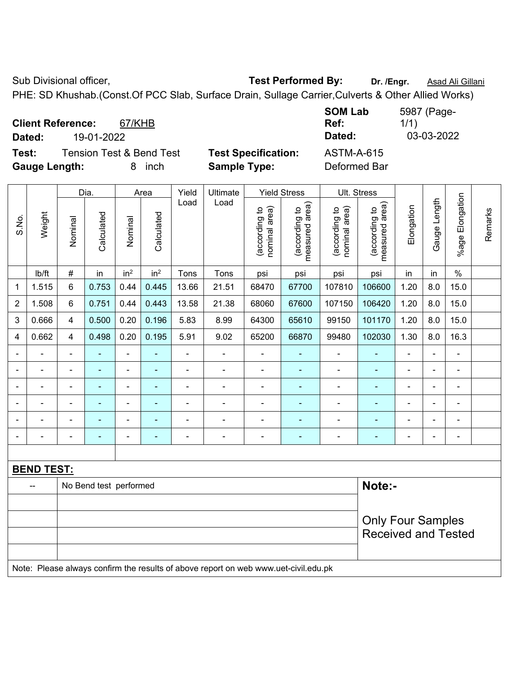Sub Divisional officer, **Test Performed By:** Dr. /Engr. **Asad Ali Gillani** Cub Divisional officer, PHE: SD Khushab.(Const.Of PCC Slab, Surface Drain, Sullage Carrier,Culverts & Other Allied Works)

|                                    |            |                          |  |  |  |   |      | <b>SOM Lab</b> | 5987 (Page- |  |
|------------------------------------|------------|--------------------------|--|--|--|---|------|----------------|-------------|--|
| <b>Client Reference:</b><br>67/KHB |            |                          |  |  |  |   | Ref: | 1/1)           |             |  |
| Dated:                             | 19-01-2022 |                          |  |  |  |   |      | Dated:         | 03-03-2022  |  |
| $\sim$ $\sim$                      |            | $\overline{\phantom{a}}$ |  |  |  | . |      | .              |             |  |

**Test:** Tension Test & Bend Test **Test Specification:** ASTM-A-615 **Gauge Length:** 8 inch **Sample Type:** Deformed Bar

|                          |                          |                        | Dia.       |                          | Area            | Yield          | Ultimate       |                                | <b>Yield Stress</b>             | Ult. Stress                    |                                 |                |                |                          |         |
|--------------------------|--------------------------|------------------------|------------|--------------------------|-----------------|----------------|----------------|--------------------------------|---------------------------------|--------------------------------|---------------------------------|----------------|----------------|--------------------------|---------|
| S.No.                    | Weight                   | Nominal                | Calculated | Nominal                  | Calculated      | Load           | Load           | nominal area)<br>(according to | measured area)<br>(according to | nominal area)<br>(according to | measured area)<br>(according to | Elongation     | Gauge Length   | Elongation<br>%age l     | Remarks |
|                          | Ib/ft                    | $\#$                   | in         | in <sup>2</sup>          | in <sup>2</sup> | Tons           | Tons           | psi                            | psi                             | psi                            | psi                             | in             | in             | $\%$                     |         |
| 1                        | 1.515                    | 6                      | 0.753      | 0.44                     | 0.445           | 13.66          | 21.51          | 68470                          | 67700                           | 107810                         | 106600                          | 1.20           | 8.0            | 15.0                     |         |
| $\overline{2}$           | 1.508                    | $6\phantom{1}$         | 0.751      | 0.44                     | 0.443           | 13.58          | 21.38          | 68060                          | 67600                           | 107150                         | 106420                          | 1.20           | 8.0            | 15.0                     |         |
| 3                        | 0.666                    | 4                      | 0.500      | 0.20                     | 0.196           | 5.83           | 8.99           | 64300                          | 65610                           | 99150                          | 101170                          | 1.20           | 8.0            | 15.0                     |         |
| 4                        | 0.662                    | $\overline{4}$         | 0.498      | 0.20                     | 0.195           | 5.91           | 9.02           | 65200                          | 66870                           | 99480                          | 102030                          | 1.30           | 8.0            | 16.3                     |         |
| $\blacksquare$           | ÷                        | $\blacksquare$         | ÷,         | $\frac{1}{2}$            | $\blacksquare$  | $\blacksquare$ | ä,             | $\blacksquare$                 | $\blacksquare$                  | $\overline{\phantom{a}}$       | ۰                               | ä,             | $\blacksquare$ | $\blacksquare$           |         |
| $\blacksquare$           | $\blacksquare$           | $\blacksquare$         | ÷.         | $\blacksquare$           | $\blacksquare$  | $\blacksquare$ | ä,             | $\blacksquare$                 | $\blacksquare$                  | $\blacksquare$                 | $\blacksquare$                  | $\blacksquare$ |                | $\blacksquare$           |         |
|                          |                          | $\blacksquare$         | ÷,         | $\blacksquare$           | $\blacksquare$  | $\blacksquare$ |                | Ē,                             | ä,                              | $\blacksquare$                 | ۰                               | $\blacksquare$ |                | $\blacksquare$           |         |
|                          |                          | $\blacksquare$         |            | $\blacksquare$           | $\blacksquare$  |                |                | ٠                              | Ē.                              | $\blacksquare$                 | ۰                               | $\blacksquare$ |                | $\blacksquare$           |         |
| $\overline{\phantom{a}}$ | $\overline{\phantom{0}}$ | $\blacksquare$         | ÷,         | ÷                        | $\blacksquare$  | $\blacksquare$ | $\blacksquare$ | $\blacksquare$                 | ä,                              | $\blacksquare$                 | ۰                               | $\blacksquare$ | $\blacksquare$ | $\overline{\phantom{a}}$ |         |
| $\blacksquare$           |                          | $\blacksquare$         | ÷,         | $\overline{\phantom{a}}$ | ۰               | ÷              |                | ۰                              | $\blacksquare$                  | $\blacksquare$                 | -                               | ÷,             |                | $\blacksquare$           |         |
|                          |                          |                        |            |                          |                 |                |                |                                |                                 |                                |                                 |                |                |                          |         |
|                          | <b>BEND TEST:</b>        |                        |            |                          |                 |                |                |                                |                                 |                                |                                 |                |                |                          |         |
|                          | --                       | No Bend test performed |            |                          |                 |                |                |                                |                                 |                                | Note:-                          |                |                |                          |         |
|                          |                          |                        |            |                          |                 |                |                |                                |                                 |                                |                                 |                |                |                          |         |
|                          |                          |                        |            |                          |                 |                |                |                                |                                 |                                | <b>Only Four Samples</b>        |                |                |                          |         |
|                          |                          |                        |            |                          |                 |                |                |                                |                                 |                                | <b>Received and Tested</b>      |                |                |                          |         |
|                          |                          |                        |            |                          |                 |                |                |                                |                                 |                                |                                 |                |                |                          |         |
|                          |                          |                        |            |                          |                 |                |                |                                |                                 |                                |                                 |                |                |                          |         |

Note: Please always confirm the results of above report on web www.uet-civil.edu.pk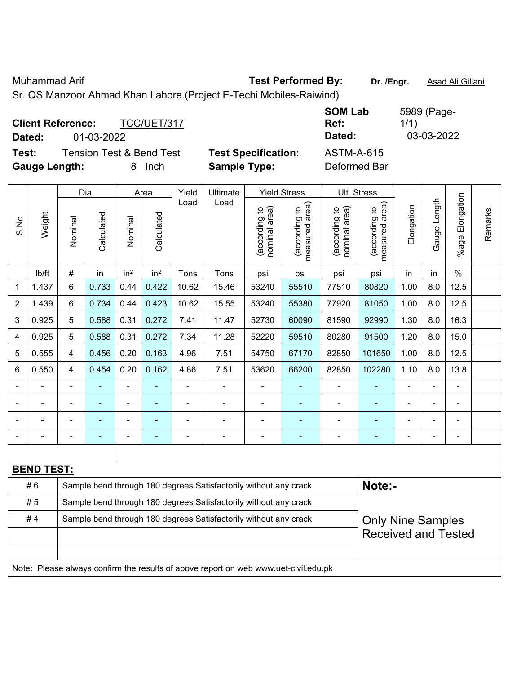Muhammad Arif **Test Performed By: Dr. /Engr.** Asad Ali Gillani

Sr. QS Manzoor Ahmad Khan Lahore.(Project E-Techi Mobiles-Raiwind)

| <b>Client Reference:</b> | TCC/UET/317                         |                            | <b>SOM Lab</b><br>Ref: | 5989 (Page-<br>1/1) |
|--------------------------|-------------------------------------|----------------------------|------------------------|---------------------|
| Dated:                   | 01-03-2022                          |                            | Dated:                 | 03-03-2022          |
| Test:                    | <b>Tension Test &amp; Bend Test</b> | <b>Test Specification:</b> | <b>ASTM-A-615</b>      |                     |
| <b>Gauge Length:</b>     | inch<br>8                           | <b>Sample Type:</b>        | Deformed Bar           |                     |

|                |                   |                                                                  | Dia.           |                 | Area            | Yield | Ultimate                                                                            |                                | <b>Yield Stress</b>                         |                                | Ult. Stress                     |                |                |                       |         |
|----------------|-------------------|------------------------------------------------------------------|----------------|-----------------|-----------------|-------|-------------------------------------------------------------------------------------|--------------------------------|---------------------------------------------|--------------------------------|---------------------------------|----------------|----------------|-----------------------|---------|
| S.No.          | Weight            | Nominal                                                          | Calculated     | Nominal         | Calculated      | Load  | Load                                                                                | nominal area)<br>(according to | (according to<br>neasured area)<br>measured | nominal area)<br>(according to | (according to<br>measured area) | Elongation     | Gauge Length   | Elongation<br>$%$ age | Remarks |
|                | lb/ft             | $\#$                                                             | in             | in <sup>2</sup> | in <sup>2</sup> | Tons  | Tons                                                                                | psi                            | psi                                         | psi                            | psi                             | in             | in             | $\%$                  |         |
| 1              | 1.437             | $6\phantom{1}$                                                   | 0.733          | 0.44            | 0.422           | 10.62 | 15.46                                                                               | 53240                          | 55510                                       | 77510                          | 80820                           | 1.00           | 8.0            | 12.5                  |         |
| $\overline{2}$ | 1.439             | $6\phantom{1}$                                                   | 0.734          | 0.44            | 0.423           | 10.62 | 15.55                                                                               | 53240                          | 55380                                       | 77920                          | 81050                           | 1.00           | 8.0            | 12.5                  |         |
| 3              | 0.925             | 5                                                                | 0.588          | 0.31            | 0.272           | 7.41  | 11.47                                                                               | 52730                          | 60090                                       | 81590                          | 92990                           | 1.30           | 8.0            | 16.3                  |         |
| $\overline{4}$ | 0.925             | 5                                                                | 0.588          | 0.31            | 0.272           | 7.34  | 11.28                                                                               | 52220                          | 59510                                       | 80280                          | 91500                           | 1.20           | 8.0            | 15.0                  |         |
| 5              | 0.555             | $\overline{4}$                                                   | 0.456          | 0.20            | 0.163           | 4.96  | 7.51                                                                                | 54750                          | 67170                                       | 82850                          | 101650                          | 1.00           | 8.0            | 12.5                  |         |
| 6              | 0.550             | $\overline{\mathbf{4}}$                                          | 0.454          | 0.20            | 0.162           | 4.86  | 7.51                                                                                | 53620                          | 66200                                       | 82850                          | 102280                          | 1.10           | 8.0            | 13.8                  |         |
|                |                   |                                                                  |                |                 |                 |       |                                                                                     |                                |                                             |                                |                                 |                |                |                       |         |
|                |                   |                                                                  |                | $\blacksquare$  |                 |       |                                                                                     | $\blacksquare$                 |                                             | $\blacksquare$                 |                                 |                |                |                       |         |
|                |                   |                                                                  |                | $\blacksquare$  |                 |       |                                                                                     | $\blacksquare$                 | ۰                                           | $\blacksquare$                 | ÷                               |                |                | $\blacksquare$        |         |
|                |                   |                                                                  | $\blacksquare$ | ÷               | $\blacksquare$  |       | $\blacksquare$                                                                      | $\blacksquare$                 | $\blacksquare$                              | $\blacksquare$                 | $\blacksquare$                  | $\blacksquare$ | $\blacksquare$ | $\overline{a}$        |         |
|                |                   |                                                                  |                |                 |                 |       |                                                                                     |                                |                                             |                                |                                 |                |                |                       |         |
|                | <b>BEND TEST:</b> |                                                                  |                |                 |                 |       |                                                                                     |                                |                                             |                                |                                 |                |                |                       |         |
|                | #6                |                                                                  |                |                 |                 |       | Sample bend through 180 degrees Satisfactorily without any crack                    |                                |                                             |                                | Note:-                          |                |                |                       |         |
|                | #5                | Sample bend through 180 degrees Satisfactorily without any crack |                |                 |                 |       |                                                                                     |                                |                                             |                                |                                 |                |                |                       |         |
|                | #4                |                                                                  |                |                 |                 |       | Sample bend through 180 degrees Satisfactorily without any crack                    |                                |                                             |                                | <b>Only Nine Samples</b>        |                |                |                       |         |
|                |                   |                                                                  |                |                 |                 |       |                                                                                     |                                |                                             |                                | <b>Received and Tested</b>      |                |                |                       |         |
|                |                   |                                                                  |                |                 |                 |       |                                                                                     |                                |                                             |                                |                                 |                |                |                       |         |
|                |                   |                                                                  |                |                 |                 |       | Note: Please always confirm the results of above report on web www.uet-civil.edu.pk |                                |                                             |                                |                                 |                |                |                       |         |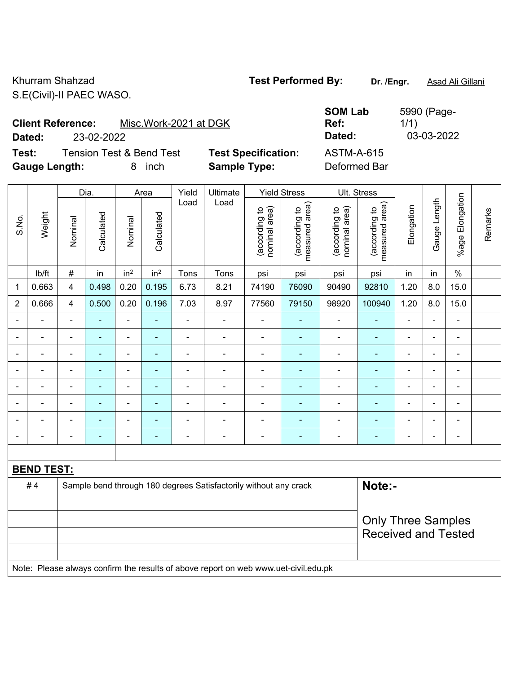Khurram Shahzad **Test Performed By:** Dr. /Engr. **Asad Ali Gillani** S.E(Civil)-II PAEC WASO.

**SOM Lab Ref:** 

1/1)

5990 (Page-

**Client Reference:** Misc.Work-2021 at DGK **Dated:** 23-02-2022 **Dated:** 03-03-2022

**Test:** Tension Test & Bend Test **Test Specification:** ASTM-A-615 **Gauge Length:** 8 inch **Sample Type:** Deformed Bar

| <b>Specification:</b> | P |
|-----------------------|---|
| ple Type:             |   |

|                |                   |                                                                  | Dia.                     |                          | Area            | Yield          | Ultimate                 |                                | <b>Yield Stress</b>             |                                | Ult. Stress                     |                |              |                              |         |
|----------------|-------------------|------------------------------------------------------------------|--------------------------|--------------------------|-----------------|----------------|--------------------------|--------------------------------|---------------------------------|--------------------------------|---------------------------------|----------------|--------------|------------------------------|---------|
| S.No.          | Weight            | Nominal                                                          | Calculated               | Nominal                  | Calculated      | Load           | Load                     | nominal area)<br>(according to | (according to<br>measured area) | nominal area)<br>(according to | measured area)<br>(according to | Elongation     | Gauge Length | %age Elongation              | Remarks |
|                | Ib/ft             | $\#$                                                             | in                       | in <sup>2</sup>          | in <sup>2</sup> | Tons           | Tons                     | psi                            | psi                             | psi                            | psi                             | in             | in           | $\%$                         |         |
| 1              | 0.663             | $\overline{4}$                                                   | 0.498                    | 0.20                     | 0.195           | 6.73           | 8.21                     | 74190                          | 76090                           | 90490                          | 92810                           | 1.20           | 8.0          | 15.0                         |         |
| $\overline{2}$ | 0.666             | $\overline{4}$                                                   | 0.500                    | 0.20                     | 0.196           | 7.03           | 8.97                     | 77560                          | 79150                           | 98920                          | 100940                          | 1.20           | 8.0          | 15.0                         |         |
|                |                   | $\blacksquare$                                                   |                          | $\blacksquare$           |                 | $\blacksquare$ |                          | $\blacksquare$                 | ä,                              | $\blacksquare$                 | ä,                              |                |              | ä,                           |         |
|                |                   | ۰                                                                | $\blacksquare$           | $\overline{a}$           |                 | -              | $\overline{\phantom{0}}$ | $\blacksquare$                 | ۰                               | $\qquad \qquad \blacksquare$   | ۰                               | $\blacksquare$ | ÷            | ÷                            |         |
| $\blacksquare$ | $\blacksquare$    | $\blacksquare$                                                   | $\blacksquare$           | $\blacksquare$           | $\blacksquare$  | $\blacksquare$ | $\blacksquare$           | $\blacksquare$                 | ۰                               | ۰                              | ÷                               | $\blacksquare$ | ÷            | $\blacksquare$               |         |
|                |                   |                                                                  | $\overline{\phantom{0}}$ | $\blacksquare$           |                 |                |                          |                                |                                 |                                |                                 |                |              | $\blacksquare$               |         |
|                |                   | $\blacksquare$                                                   | $\blacksquare$           | $\overline{\phantom{0}}$ | ٠               | ÷              | $\blacksquare$           | $\overline{a}$                 | ۰                               | ۰                              | ۰                               | $\blacksquare$ | ٠            | $\overline{\phantom{a}}$     |         |
|                |                   | $\blacksquare$                                                   | $\blacksquare$           | $\blacksquare$           | $\blacksquare$  | $\blacksquare$ | $\blacksquare$           | $\blacksquare$                 | ۰                               | ۰                              | ۰                               | $\blacksquare$ |              | ä,                           |         |
|                |                   |                                                                  | ٠                        | $\blacksquare$           |                 |                |                          | ٠                              |                                 |                                |                                 |                |              | $\blacksquare$               |         |
| $\blacksquare$ |                   | ۰                                                                | ٠                        | $\blacksquare$           | ÷               | ÷              | $\blacksquare$           | $\overline{a}$                 | ÷                               | $\qquad \qquad \blacksquare$   | ä,                              | ÷              |              | $\qquad \qquad \blacksquare$ |         |
|                |                   |                                                                  |                          |                          |                 |                |                          |                                |                                 |                                |                                 |                |              |                              |         |
|                | <b>BEND TEST:</b> |                                                                  |                          |                          |                 |                |                          |                                |                                 |                                |                                 |                |              |                              |         |
|                | #4                | Sample bend through 180 degrees Satisfactorily without any crack |                          |                          |                 |                |                          | Note:-                         |                                 |                                |                                 |                |              |                              |         |
|                |                   |                                                                  |                          |                          |                 |                |                          |                                |                                 |                                |                                 |                |              |                              |         |
|                |                   |                                                                  |                          |                          |                 |                |                          |                                | <b>Only Three Samples</b>       |                                |                                 |                |              |                              |         |
|                |                   |                                                                  |                          |                          |                 |                |                          |                                |                                 |                                | <b>Received and Tested</b>      |                |              |                              |         |
|                |                   |                                                                  |                          |                          |                 |                |                          |                                |                                 |                                |                                 |                |              |                              |         |

Note: Please always confirm the results of above report on web www.uet-civil.edu.pk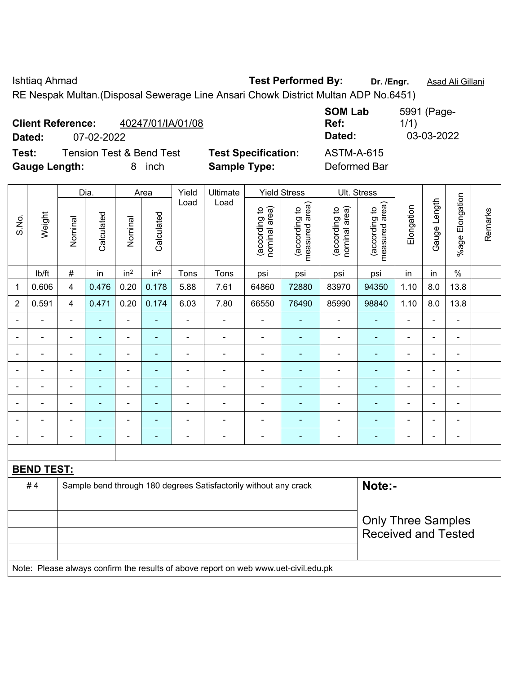Ishtiaq Ahmad **Test Performed By: Dr. /Engr.** Asad Ali Gillani RE Nespak Multan.(Disposal Sewerage Line Ansari Chowk District Multan ADP No.6451)

| Dated:                                                                 |                   | 07-02-2022                                       |                |                 |                 |                |                                                   |                                |                                 |                                   | Dated:                             |                          | 03-03-2022     |                 |         |  |
|------------------------------------------------------------------------|-------------------|--------------------------------------------------|----------------|-----------------|-----------------|----------------|---------------------------------------------------|--------------------------------|---------------------------------|-----------------------------------|------------------------------------|--------------------------|----------------|-----------------|---------|--|
| Test:<br><b>Gauge Length:</b>                                          |                   | <b>Tension Test &amp; Bend Test</b><br>inch<br>8 |                |                 |                 |                | <b>Test Specification:</b><br><b>Sample Type:</b> |                                |                                 | <b>ASTM-A-615</b><br>Deformed Bar |                                    |                          |                |                 |         |  |
|                                                                        |                   | Dia.                                             |                | Area            |                 | Yield          | Ultimate                                          | <b>Yield Stress</b>            |                                 | Ult. Stress                       |                                    |                          |                |                 |         |  |
| S.No.                                                                  | Weight            | Nominal                                          | Calculated     | Nominal         | Calculated      | Load           | Load                                              | nominal area)<br>(according to | measured area)<br>(according to | nominal area)<br>(according to    | area)<br>(according to<br>measured | Elongation               | Gauge Length   | %age Elongation | Remarks |  |
|                                                                        | lb/ft             | $\#$                                             | in             | in <sup>2</sup> | in <sup>2</sup> | Tons           | Tons                                              | psi                            | psi                             | psi                               | psi                                | in                       | in             | $\%$            |         |  |
| $\mathbf{1}$                                                           | 0.606             | $\overline{4}$                                   | 0.476          | 0.20            | 0.178           | 5.88           | 7.61                                              | 64860                          | 72880                           | 83970                             | 94350                              | 1.10                     | 8.0            | 13.8            |         |  |
| $\overline{2}$                                                         | 0.591             | $\overline{4}$                                   | 0.471          | 0.20            | 0.174           | 6.03           | 7.80                                              | 66550                          | 76490                           | 85990                             | 98840                              | 1.10                     | 8.0            | 13.8            |         |  |
|                                                                        |                   | $\blacksquare$                                   |                |                 | ۰               |                | $\blacksquare$                                    | $\blacksquare$                 |                                 |                                   | $\overline{\phantom{a}}$           | $\blacksquare$           | $\blacksquare$ | $\blacksquare$  |         |  |
|                                                                        |                   |                                                  |                |                 | $\blacksquare$  |                | $\overline{\phantom{0}}$                          | $\blacksquare$                 |                                 | $\overline{\phantom{0}}$          | $\blacksquare$                     | -                        | $\blacksquare$ | ۰               |         |  |
|                                                                        |                   | $\blacksquare$                                   | $\blacksquare$ | $\blacksquare$  | ٠               |                | $\overline{\phantom{a}}$                          | $\overline{a}$                 |                                 | $\overline{\phantom{0}}$          | $\blacksquare$                     | $\blacksquare$           | $\blacksquare$ | $\blacksquare$  |         |  |
|                                                                        |                   | $\blacksquare$                                   |                |                 | $\blacksquare$  |                |                                                   | $\blacksquare$                 |                                 |                                   | $\blacksquare$                     | -                        | $\blacksquare$ | ۰               |         |  |
|                                                                        |                   | $\blacksquare$                                   |                |                 | ۰               |                |                                                   | $\blacksquare$                 |                                 | $\overline{\phantom{a}}$          | $\blacksquare$                     | -                        | $\blacksquare$ | $\blacksquare$  |         |  |
|                                                                        |                   |                                                  |                |                 | $\blacksquare$  |                |                                                   | $\blacksquare$                 |                                 | $\overline{\phantom{0}}$          | $\blacksquare$                     | $\overline{\phantom{0}}$ | $\blacksquare$ | $\blacksquare$  |         |  |
|                                                                        |                   | ä,                                               |                | $\blacksquare$  |                 |                | $\overline{\phantom{a}}$                          | $\overline{a}$                 |                                 | $\overline{a}$                    | $\overline{\phantom{a}}$           | $\blacksquare$           | $\blacksquare$ | $\blacksquare$  |         |  |
|                                                                        |                   | $\blacksquare$                                   |                |                 | ۰               | $\blacksquare$ | $\overline{\phantom{a}}$                          | $\overline{a}$                 |                                 | $\overline{a}$                    | $\blacksquare$                     | $\blacksquare$           | $\blacksquare$ | $\blacksquare$  |         |  |
|                                                                        | <b>BEND TEST:</b> |                                                  |                |                 |                 |                |                                                   |                                |                                 |                                   |                                    |                          |                |                 |         |  |
| #4<br>Sample bend through 180 degrees Satisfactorily without any crack |                   |                                                  |                |                 |                 |                |                                                   |                                |                                 |                                   | Note:-                             |                          |                |                 |         |  |

| $\pi$ $\pi$                                                                         | <u>Campic bend unough 100 acgrees causiactomy without any crack</u> | TUTU                                             |  |  |  |  |
|-------------------------------------------------------------------------------------|---------------------------------------------------------------------|--------------------------------------------------|--|--|--|--|
|                                                                                     |                                                                     | Only Three Samples<br><b>Received and Tested</b> |  |  |  |  |
| Note: Please always confirm the results of above report on web www.uet-civil.edu.pk |                                                                     |                                                  |  |  |  |  |

5991 (Page-1/1)

**SOM Lab Ref:** 

**Client Reference:** 40247/01/IA/01/08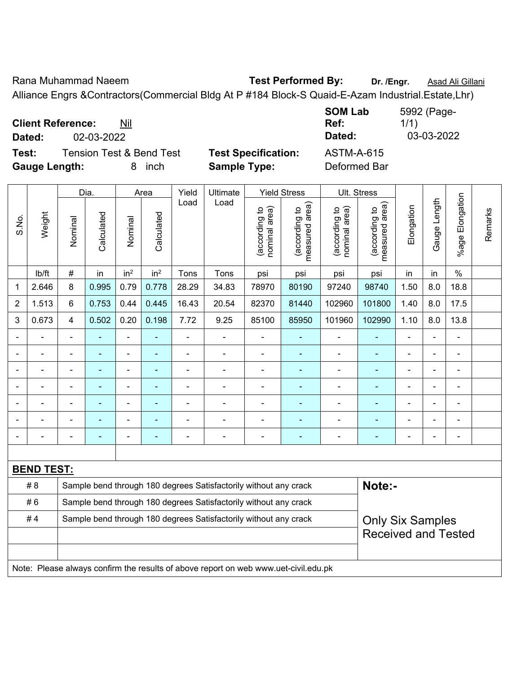Rana Muhammad Naeem **Test Performed By:** Dr. /Engr. **Asad Ali Gillani** Alliance Engrs &Contractors(Commercial Bldg At P #184 Block-S Quaid-E-Azam Industrial.Estate,Lhr)

**Client Reference:** Nil

**Dated:** 02-03-2022 **Dated:** 03-03-2022

**Test:** Tension Test & Bend Test **Test Specification:** ASTM-A-615 **Gauge Length:** 8 inch **Sample Type:** Deformed Bar

**Ref:** 

**SOM Lab** 

|                          |                                                                         |                                                                  | Dia.           |                 | Area            | Yield          | Ultimate       |                                | <b>Yield Stress</b>             | <b>Ult. Stress</b>             |                                 |                |                |                       |         |
|--------------------------|-------------------------------------------------------------------------|------------------------------------------------------------------|----------------|-----------------|-----------------|----------------|----------------|--------------------------------|---------------------------------|--------------------------------|---------------------------------|----------------|----------------|-----------------------|---------|
| S.No                     | Weight                                                                  | Nominal                                                          | Calculated     | Nominal         | Calculated      | Load           | Load           | nominal area)<br>(according to | measured area)<br>(according to | nominal area)<br>(according to | measured area)<br>(according to | Elongation     | Gauge Length   | Elongation<br>$%$ age | Remarks |
|                          | lb/ft                                                                   | $\#$                                                             | in             | in <sup>2</sup> | in <sup>2</sup> | Tons           | Tons           | psi                            | psi                             | psi                            | psi                             | in             | in             | $\%$                  |         |
| $\mathbf 1$              | 2.646                                                                   | 8                                                                | 0.995          | 0.79            | 0.778           | 28.29          | 34.83          | 78970                          | 80190                           | 97240                          | 98740                           | 1.50           | 8.0            | 18.8                  |         |
| $\overline{\mathbf{c}}$  | 1.513                                                                   | 6                                                                | 0.753          | 0.44            | 0.445           | 16.43          | 20.54          | 82370                          | 81440                           | 102960                         | 101800                          | 1.40           | 8.0            | 17.5                  |         |
| 3                        | 0.673                                                                   | 4                                                                | 0.502          | 0.20            | 0.198           | 7.72           | 9.25           | 85100                          | 85950                           | 101960                         | 102990                          | 1.10           | 8.0            | 13.8                  |         |
| $\blacksquare$           |                                                                         |                                                                  | ÷              | ۰               | ۰               |                | $\blacksquare$ | $\blacksquare$                 | $\blacksquare$                  | $\blacksquare$                 |                                 |                | Ξ.             | $\blacksquare$        |         |
| $\overline{\phantom{a}}$ |                                                                         |                                                                  | $\blacksquare$ | ÷               | $\blacksquare$  | $\blacksquare$ | $\blacksquare$ | $\blacksquare$                 |                                 | $\blacksquare$                 |                                 |                |                |                       |         |
| $\overline{\phantom{a}}$ |                                                                         |                                                                  |                |                 | $\blacksquare$  |                |                | Ē                              |                                 | ۰                              |                                 | $\blacksquare$ |                |                       |         |
| $\overline{\phantom{a}}$ |                                                                         |                                                                  | $\blacksquare$ | ۰               | $\blacksquare$  | ٠              | -              | $\overline{a}$                 | $\blacksquare$                  | -                              |                                 | $\blacksquare$ | $\blacksquare$ | $\blacksquare$        |         |
|                          |                                                                         |                                                                  |                |                 |                 |                |                |                                |                                 |                                |                                 |                |                |                       |         |
|                          |                                                                         |                                                                  |                |                 |                 |                |                |                                |                                 | $\blacksquare$                 |                                 |                |                |                       |         |
| $\blacksquare$           |                                                                         |                                                                  |                | ۰               |                 |                | $\blacksquare$ | -                              |                                 | $\blacksquare$                 |                                 |                |                | $\blacksquare$        |         |
|                          |                                                                         |                                                                  |                |                 |                 |                |                |                                |                                 |                                |                                 |                |                |                       |         |
|                          | <b>BEND TEST:</b>                                                       |                                                                  |                |                 |                 |                |                |                                |                                 |                                |                                 |                |                |                       |         |
|                          | # 8<br>Sample bend through 180 degrees Satisfactorily without any crack |                                                                  |                |                 |                 |                |                |                                | Note:-                          |                                |                                 |                |                |                       |         |
|                          | #6                                                                      | Sample bend through 180 degrees Satisfactorily without any crack |                |                 |                 |                |                |                                |                                 |                                |                                 |                |                |                       |         |
|                          | #4                                                                      | Sample bend through 180 degrees Satisfactorily without any crack |                |                 |                 |                |                |                                |                                 |                                | <b>Only Six Samples</b>         |                |                |                       |         |
|                          |                                                                         |                                                                  |                |                 |                 |                |                |                                |                                 | <b>Received and Tested</b>     |                                 |                |                |                       |         |
|                          |                                                                         |                                                                  |                |                 |                 |                |                |                                |                                 |                                |                                 |                |                |                       |         |

Note: Please always confirm the results of above report on web www.uet-civil.edu.pk

5992 (Page-

1/1)